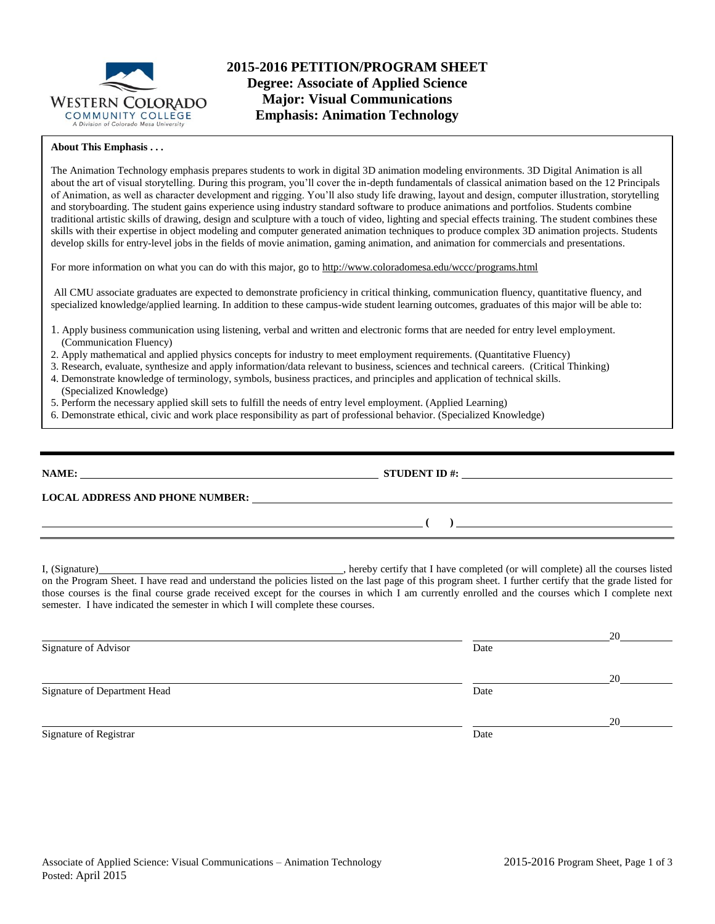

#### **About This Emphasis . . .**

The Animation Technology emphasis prepares students to work in digital 3D animation modeling environments. 3D Digital Animation is all about the art of visual storytelling. During this program, you'll cover the in-depth fundamentals of classical animation based on the 12 Principals of Animation, as well as character development and rigging. You'll also study life drawing, layout and design, computer illustration, storytelling and storyboarding. The student gains experience using industry standard software to produce animations and portfolios. Students combine traditional artistic skills of drawing, design and sculpture with a touch of video, lighting and special effects training. The student combines these skills with their expertise in object modeling and computer generated animation techniques to produce complex 3D animation projects. Students develop skills for entry-level jobs in the fields of movie animation, gaming animation, and animation for commercials and presentations.

For more information on what you can do with this major, go to http://www.coloradomesa.edu/wccc/programs.html

All CMU associate graduates are expected to demonstrate proficiency in critical thinking, communication fluency, quantitative fluency, and specialized knowledge/applied learning. In addition to these campus-wide student learning outcomes, graduates of this major will be able to:

- 1. Apply business communication using listening, verbal and written and electronic forms that are needed for entry level employment. (Communication Fluency)
- 2. Apply mathematical and applied physics concepts for industry to meet employment requirements. (Quantitative Fluency)
- 3. Research, evaluate, synthesize and apply information/data relevant to business, sciences and technical careers. (Critical Thinking)
- 4. Demonstrate knowledge of terminology, symbols, business practices, and principles and application of technical skills. (Specialized Knowledge)
- 5. Perform the necessary applied skill sets to fulfill the needs of entry level employment. (Applied Learning)
- 6. Demonstrate ethical, civic and work place responsibility as part of professional behavior. (Specialized Knowledge)

| NAME:<br><u> 1980 - Andrea Brand, amerikansk politik (d. 1980)</u> | <b>STUDENT ID #:</b>                                    | <u> 1980 - Andrea Andrew Maria (h. 1980).</u> |
|--------------------------------------------------------------------|---------------------------------------------------------|-----------------------------------------------|
| <b>LOCAL ADDRESS AND PHONE NUMBER:</b>                             | <u> 1989 - Johann Stein, fransk politiker (d. 1989)</u> |                                               |
| <u> 1990 - Andrea Andrew Maria (h. 1980).</u>                      |                                                         |                                               |
|                                                                    |                                                         |                                               |

I, (Signature) , hereby certify that I have completed (or will complete) all the courses listed on the Program Sheet. I have read and understand the policies listed on the last page of this program sheet. I further certify that the grade listed for those courses is the final course grade received except for the courses in which I am currently enrolled and the courses which I complete next semester. I have indicated the semester in which I will complete these courses.

|                              |      | 20 |
|------------------------------|------|----|
| Signature of Advisor         | Date |    |
|                              |      | 20 |
| Signature of Department Head | Date |    |
|                              |      | 20 |
| Signature of Registrar       | Date |    |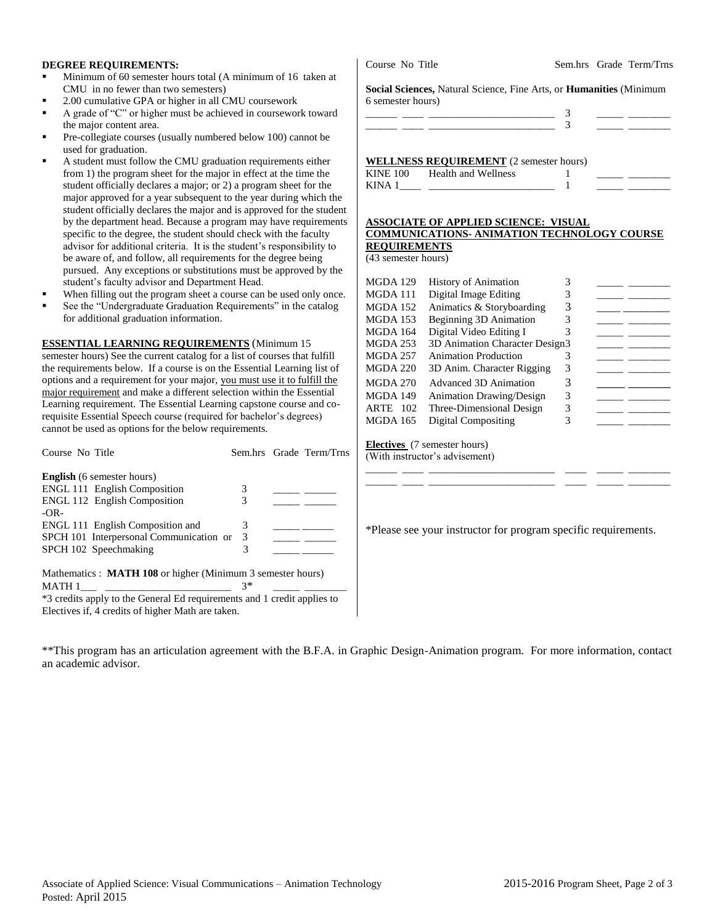#### **DEGREE REQUIREMENTS:**

- Minimum of 60 semester hours total (A minimum of 16 taken at CMU in no fewer than two semesters)
- 2.00 cumulative GPA or higher in all CMU coursework
- A grade of "C" or higher must be achieved in coursework toward the major content area.
- Pre-collegiate courses (usually numbered below 100) cannot be used for graduation.
- A student must follow the CMU graduation requirements either from 1) the program sheet for the major in effect at the time the student officially declares a major; or 2) a program sheet for the major approved for a year subsequent to the year during which the student officially declares the major and is approved for the student by the department head. Because a program may have requirements specific to the degree, the student should check with the faculty advisor for additional criteria. It is the student's responsibility to be aware of, and follow, all requirements for the degree being pursued. Any exceptions or substitutions must be approved by the student's faculty advisor and Department Head.
- When filling out the program sheet a course can be used only once.
- See the "Undergraduate Graduation Requirements" in the catalog for additional graduation information.

#### **ESSENTIAL LEARNING REQUIREMENTS** (Minimum 15

semester hours) See the current catalog for a list of courses that fulfill the requirements below. If a course is on the Essential Learning list of options and a requirement for your major, you must use it to fulfill the major requirement and make a different selection within the Essential Learning requirement. The Essential Learning capstone course and corequisite Essential Speech course (required for bachelor's degrees) cannot be used as options for the below requirements.

| Course No Title                                                         |      | Sem.hrs Grade Term/Trns |
|-------------------------------------------------------------------------|------|-------------------------|
| <b>English</b> (6 semester hours)                                       |      |                         |
| <b>ENGL 111 English Composition</b>                                     | 3    |                         |
| <b>ENGL 112 English Composition</b>                                     | 3    |                         |
| $-OR-$                                                                  |      |                         |
| ENGL 111 English Composition and                                        | 3    |                         |
| SPCH 101 Interpersonal Communication or                                 | 3    |                         |
| SPCH 102 Speechmaking                                                   | 3    |                         |
|                                                                         |      |                         |
| Mathematics : <b>MATH 108</b> or higher (Minimum 3 semester hours)      |      |                         |
| MATH 1                                                                  | $3*$ |                         |
| *3 credits apply to the General Ed requirements and 1 credit applies to |      |                         |

Electives if, 4 credits of higher Math are taken.

| 6 semester hours) |  |
|-------------------|--|
|                   |  |
|                   |  |
|                   |  |

**Social Sciences,** Natural Science, Fine Arts, or **Humanities** (Minimum

#### **WELLNESS REQUIREMENT** (2 semester hours) KINE 100 Health and Wellness 1 KINA  $1 \qquad \qquad$   $\qquad \qquad$  1

#### **ASSOCIATE OF APPLIED SCIENCE: VISUAL COMMUNICATIONS- ANIMATION TECHNOLOGY COURSE REQUIREMENTS**

(43 semester hours)

| MGDA 129        | <b>History of Animation</b>     | 3 |  |
|-----------------|---------------------------------|---|--|
| MGDA 111        | Digital Image Editing           | 3 |  |
| MGDA 152        | Animatics & Storyboarding       | 3 |  |
| MGDA 153        | Beginning 3D Animation          | 3 |  |
| <b>MGDA 164</b> | Digital Video Editing I         | 3 |  |
| MGDA 253        | 3D Animation Character Design3  |   |  |
| MGDA 257        | <b>Animation Production</b>     |   |  |
| MGDA 220        | 3D Anim. Character Rigging      | 3 |  |
| MGDA 270        | Advanced 3D Animation           | 3 |  |
| MGDA 149        | <b>Animation Drawing/Design</b> | 3 |  |
| ARTE<br>102     | Three-Dimensional Design        | 3 |  |
| MGDA 165        | Digital Compositing             | 3 |  |
|                 |                                 |   |  |
|                 |                                 |   |  |

**Electives** (7 semester hours) (With instructor's advisement) \_\_\_\_\_\_ \_\_\_\_ \_\_\_\_\_\_\_\_\_\_\_\_\_\_\_\_\_\_\_\_\_\_\_\_ \_\_\_\_ \_\_\_\_\_ \_\_\_\_\_\_\_\_

\*Please see your instructor for program specific requirements.

\_\_\_\_\_\_ \_\_\_\_ \_\_\_\_\_\_\_\_\_\_\_\_\_\_\_\_\_\_\_\_\_\_\_\_ \_\_\_\_ \_\_\_\_\_ \_\_\_\_\_\_\_\_

\*\*This program has an articulation agreement with the B.F.A. in Graphic Design-Animation program. For more information, contact an academic advisor.

Course No Title Sem.hrs Grade Term/Trns